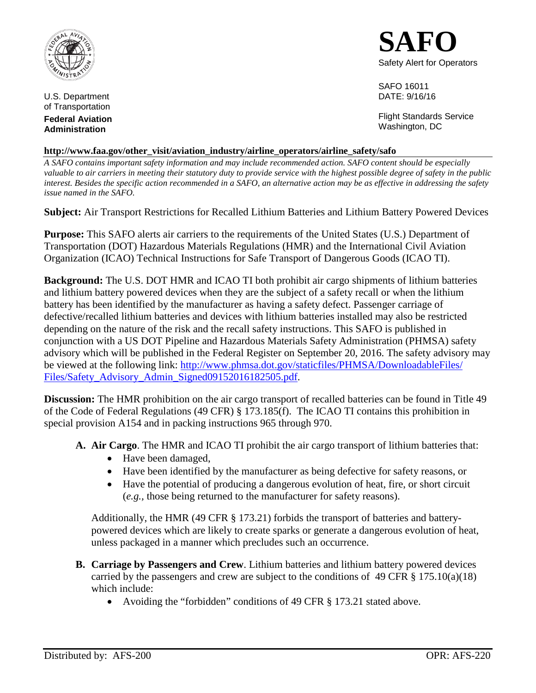

U.S. Department of Transportation

**Federal Aviation Administration**



SAFO 16011 DATE: 9/16/16

Flight Standards Service Washington, DC

## **http://www.faa.gov/other\_visit/aviation\_industry/airline\_operators/airline\_safety/safo**

*A SAFO contains important safety information and may include recommended action. SAFO content should be especially valuable to air carriers in meeting their statutory duty to provide service with the highest possible degree of safety in the public interest. Besides the specific action recommended in a SAFO, an alternative action may be as effective in addressing the safety issue named in the SAFO.*

**Subject:** Air Transport Restrictions for Recalled Lithium Batteries and Lithium Battery Powered Devices

**Purpose:** This SAFO alerts air carriers to the requirements of the United States (U.S.) Department of Transportation (DOT) Hazardous Materials Regulations (HMR) and the International Civil Aviation Organization (ICAO) Technical Instructions for Safe Transport of Dangerous Goods (ICAO TI).

**Background:** The U.S. DOT HMR and ICAO TI both prohibit air cargo shipments of lithium batteries and lithium battery powered devices when they are the subject of a safety recall or when the lithium battery has been identified by the manufacturer as having a safety defect. Passenger carriage of defective/recalled lithium batteries and devices with lithium batteries installed may also be restricted depending on the nature of the risk and the recall safety instructions. This SAFO is published in conjunction with a US DOT Pipeline and Hazardous Materials Safety Administration (PHMSA) safety advisory which will be published in the Federal Register on September 20, 2016. The safety advisory may [be viewed at the following link: http://www.phmsa.dot.gov/staticfiles/PHMSA/DownloadableFiles/](http://www.phmsa.dot.gov/staticfiles/PHMSA/DownloadableFiles/Files/Safety_Advisory_Admin_Signed09152016182505.pdf) Files/Safety\_Advisory\_Admin\_Signed09152016182505.pdf.

**Discussion:** The HMR prohibition on the air cargo transport of recalled batteries can be found in Title 49 of the Code of Federal Regulations (49 CFR) § 173.185(f). The ICAO TI contains this prohibition in special provision A154 and in packing instructions 965 through 970.

**A. Air Cargo**. The HMR and ICAO TI prohibit the air cargo transport of lithium batteries that:

- Have been damaged,
- Have been identified by the manufacturer as being defective for safety reasons, or
- Have the potential of producing a dangerous evolution of heat, fire, or short circuit (*e.g.,* those being returned to the manufacturer for safety reasons).

Additionally, the HMR (49 CFR § 173.21) forbids the transport of batteries and batterypowered devices which are likely to create sparks or generate a dangerous evolution of heat, unless packaged in a manner which precludes such an occurrence.

- **B. Carriage by Passengers and Crew**. Lithium batteries and lithium battery powered devices carried by the passengers and crew are subject to the conditions of 49 CFR  $\S 175.10(a)(18)$ which include:
	- Avoiding the "forbidden" conditions of 49 CFR § 173.21 stated above.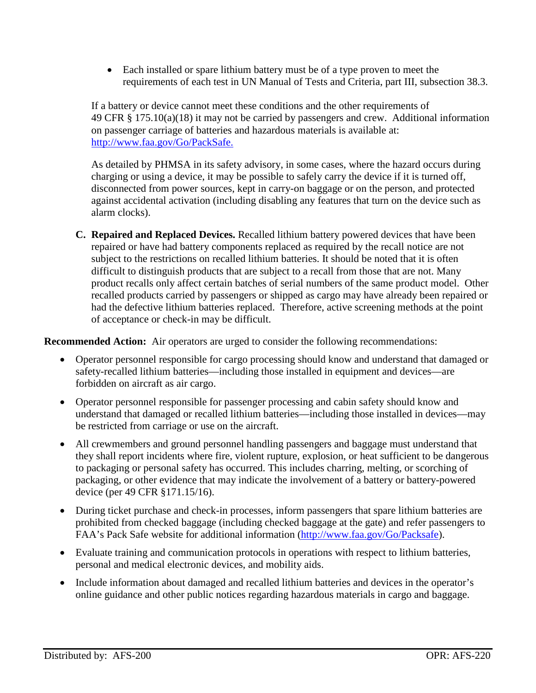• Each installed or spare lithium battery must be of a type proven to meet the requirements of each test in UN Manual of Tests and Criteria, part III, subsection 38.3.

If a battery or device cannot meet these conditions and the other requirements of 49 CFR § 175.10(a)(18) it may not be carried by passengers and crew. Additional information on passenger carriage of batteries and hazardous materials is available at: http://www.faa.gov/Go/PackSafe.

As detailed by PHMSA in its safety advisory, in some cases, where the hazard occurs during charging or using a device, it may be possible to safely carry the device if it is turned off, disconnected from power sources, kept in carry-on baggage or on the person, and protected against accidental activation (including disabling any features that turn on the device such as alarm clocks).

**C. Repaired and Replaced Devices.** Recalled lithium battery powered devices that have been repaired or have had battery components replaced as required by the recall notice are not subject to the restrictions on recalled lithium batteries. It should be noted that it is often difficult to distinguish products that are subject to a recall from those that are not. Many product recalls only affect certain batches of serial numbers of the same product model. Other recalled products carried by passengers or shipped as cargo may have already been repaired or had the defective lithium batteries replaced. Therefore, active screening methods at the point of acceptance or check-in may be difficult.

**Recommended Action:** Air operators are urged to consider the following recommendations:

- Operator personnel responsible for cargo processing should know and understand that damaged or safety-recalled lithium batteries—including those installed in equipment and devices—are forbidden on aircraft as air cargo.
- Operator personnel responsible for passenger processing and cabin safety should know and understand that damaged or recalled lithium batteries—including those installed in devices—may be restricted from carriage or use on the aircraft.
- All crewmembers and ground personnel handling passengers and baggage must understand that they shall report incidents where fire, violent rupture, explosion, or heat sufficient to be dangerous to packaging or personal safety has occurred. This includes charring, melting, or scorching of packaging, or other evidence that may indicate the involvement of a battery or battery-powered device (per 49 CFR §171.15/16).
- During ticket purchase and check-in processes, inform passengers that spare lithium batteries are prohibited from checked baggage (including checked baggage at the gate) and refer passengers to FAA's Pack Safe website for additional information (http://www.faa.gov/Go/Packsafe).
- Evaluate training and communication protocols in operations with respect to lithium batteries, personal and medical electronic devices, and mobility aids.
- Include information about damaged and recalled lithium batteries and devices in the operator's online guidance and other public notices regarding hazardous materials in cargo and baggage.